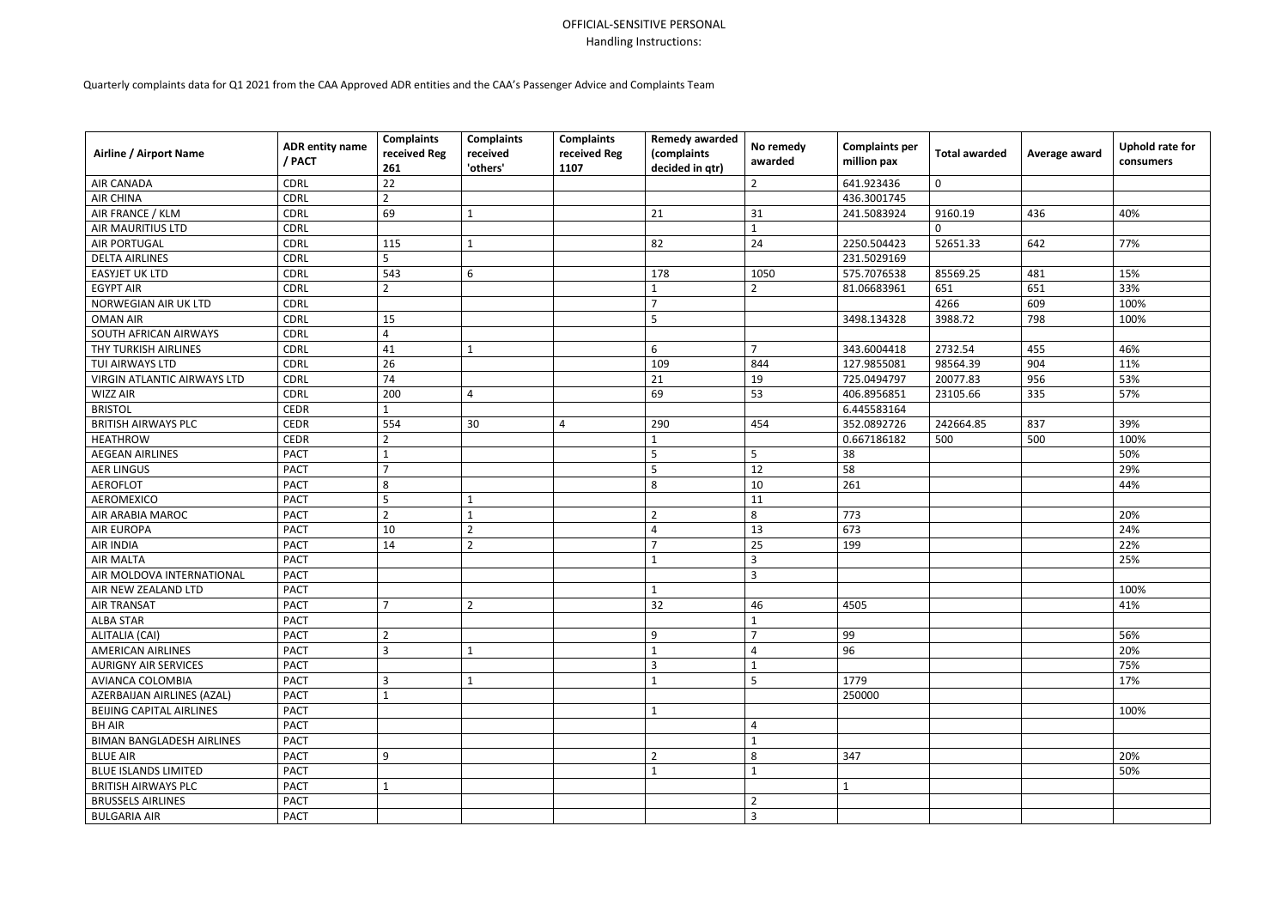## OFFICIAL-SENSITIVE PERSONAL Handling Instructions:

Quarterly complaints data for Q1 2021 from the CAA Approved ADR entities and the CAA's Passenger Advice and Complaints Team

| <b>Airline / Airport Name</b>    | <b>ADR entity name</b><br>/ PACT | <b>Complaints</b><br>received Reg<br>261 | <b>Complaints</b><br>received<br>'others' | <b>Complaints</b><br>received Reg<br>1107 | <b>Remedy awarded</b><br>(complaints<br>decided in qtr) | No remedy<br>awarded | <b>Complaints per</b><br>million pax | <b>Total awarded</b> | Average award | <b>Uphold rate for</b><br>consumers |
|----------------------------------|----------------------------------|------------------------------------------|-------------------------------------------|-------------------------------------------|---------------------------------------------------------|----------------------|--------------------------------------|----------------------|---------------|-------------------------------------|
| <b>AIR CANADA</b>                | <b>CDRL</b>                      | 22                                       |                                           |                                           |                                                         | $\overline{2}$       | 641.923436                           | $\mathbf 0$          |               |                                     |
| <b>AIR CHINA</b>                 | <b>CDRL</b>                      | $\overline{2}$                           |                                           |                                           |                                                         |                      | 436.3001745                          |                      |               |                                     |
| AIR FRANCE / KLM                 | <b>CDRL</b>                      | 69                                       |                                           |                                           | 21                                                      | 31                   | 241.5083924                          | 9160.19              | 436           | 40%                                 |
| <b>AIR MAURITIUS LTD</b>         | <b>CDRL</b>                      |                                          |                                           |                                           |                                                         |                      |                                      | $\Omega$             |               |                                     |
| <b>AIR PORTUGAL</b>              | <b>CDRL</b>                      | 115                                      |                                           |                                           | 82                                                      | 24                   | 2250.504423                          | 52651.33             | 642           | 77%                                 |
| <b>DELTA AIRLINES</b>            | <b>CDRL</b>                      | 5                                        |                                           |                                           |                                                         |                      | 231.5029169                          |                      |               |                                     |
| <b>EASYJET UK LTD</b>            | <b>CDRL</b>                      | 543                                      | 6                                         |                                           | 178                                                     | 1050                 | 575.7076538                          | 85569.25             | 481           | 15%                                 |
| <b>EGYPT AIR</b>                 | <b>CDRL</b>                      | $\overline{2}$                           |                                           |                                           | $\mathbf{1}$                                            | $\overline{2}$       | 81.06683961                          | 651                  | 651           | 33%                                 |
| NORWEGIAN AIR UK LTD             | <b>CDRL</b>                      |                                          |                                           |                                           | $\overline{7}$                                          |                      |                                      | 4266                 | 609           | 100%                                |
| <b>OMAN AIR</b>                  | <b>CDRL</b>                      | 15                                       |                                           |                                           | 5                                                       |                      | 3498.134328                          | 3988.72              | 798           | 100%                                |
| SOUTH AFRICAN AIRWAYS            | <b>CDRL</b>                      | $\overline{4}$                           |                                           |                                           |                                                         |                      |                                      |                      |               |                                     |
| THY TURKISH AIRLINES             | <b>CDRL</b>                      | 41                                       |                                           |                                           | 6                                                       | $\overline{7}$       | 343.6004418                          | 2732.54              | 455           | 46%                                 |
| TUI AIRWAYS LTD                  | <b>CDRL</b>                      | 26                                       |                                           |                                           | 109                                                     | 844                  | 127.9855081                          | 98564.39             | 904           | 11%                                 |
| VIRGIN ATLANTIC AIRWAYS LTD      | <b>CDRL</b>                      | 74                                       |                                           |                                           | 21                                                      | 19                   | 725.0494797                          | 20077.83             | 956           | 53%                                 |
| <b>WIZZ AIR</b>                  | <b>CDRL</b>                      | 200                                      | 4                                         |                                           | 69                                                      | 53                   | 406.8956851                          | 23105.66             | 335           | 57%                                 |
| <b>BRISTOL</b>                   | <b>CEDR</b>                      | 1                                        |                                           |                                           |                                                         |                      | 6.445583164                          |                      |               |                                     |
| <b>BRITISH AIRWAYS PLC</b>       | <b>CEDR</b>                      | 554                                      | 30                                        | 4                                         | 290                                                     | 454                  | 352.0892726                          | 242664.85            | 837           | 39%                                 |
| <b>HEATHROW</b>                  | <b>CEDR</b>                      | $\overline{2}$                           |                                           |                                           | 1                                                       |                      | 0.667186182                          | 500                  | 500           | 100%                                |
| <b>AEGEAN AIRLINES</b>           | <b>PACT</b>                      | 1                                        |                                           |                                           | $5\overline{)}$                                         | 5                    | 38                                   |                      |               | 50%                                 |
| <b>AER LINGUS</b>                | <b>PACT</b>                      | $\overline{7}$                           |                                           |                                           | 5                                                       | 12                   | 58                                   |                      |               | 29%                                 |
| <b>AEROFLOT</b>                  | <b>PACT</b>                      | 8                                        |                                           |                                           | 8                                                       | 10                   | 261                                  |                      |               | 44%                                 |
| AEROMEXICO                       | <b>PACT</b>                      | 5                                        |                                           |                                           |                                                         | 11                   |                                      |                      |               |                                     |
| <b>AIR ARABIA MAROC</b>          | <b>PACT</b>                      | $\overline{2}$                           |                                           |                                           | $\overline{2}$                                          | 8                    | 773                                  |                      |               | 20%                                 |
| <b>AIR EUROPA</b>                | <b>PACT</b>                      | 10                                       | $\overline{2}$                            |                                           | 4                                                       | 13                   | 673                                  |                      |               | 24%                                 |
| <b>AIR INDIA</b>                 | <b>PACT</b>                      | 14                                       | $\overline{2}$                            |                                           | $\overline{7}$                                          | 25                   | 199                                  |                      |               | 22%                                 |
| <b>AIR MALTA</b>                 | <b>PACT</b>                      |                                          |                                           |                                           | $\mathbf{1}$                                            | 3                    |                                      |                      |               | 25%                                 |
| AIR MOLDOVA INTERNATIONAL        | <b>PACT</b>                      |                                          |                                           |                                           |                                                         | 3                    |                                      |                      |               |                                     |
| AIR NEW ZEALAND LTD              | <b>PACT</b>                      |                                          |                                           |                                           | $\mathbf{1}$                                            |                      |                                      |                      |               | 100%                                |
| <b>AIR TRANSAT</b>               | <b>PACT</b>                      | $\overline{7}$                           | $\overline{2}$                            |                                           | 32                                                      | 46                   | 4505                                 |                      |               | 41%                                 |
| <b>ALBA STAR</b>                 | <b>PACT</b>                      |                                          |                                           |                                           |                                                         | $\mathbf 1$          |                                      |                      |               |                                     |
| ALITALIA (CAI)                   | <b>PACT</b>                      | $\overline{2}$                           |                                           |                                           | 9                                                       | $\overline{7}$       | 99                                   |                      |               | 56%                                 |
| <b>AMERICAN AIRLINES</b>         | <b>PACT</b>                      | 3                                        |                                           |                                           |                                                         | 4                    | 96                                   |                      |               | 20%                                 |
| <b>AURIGNY AIR SERVICES</b>      | <b>PACT</b>                      |                                          |                                           |                                           | $\overline{3}$                                          | $\mathbf{1}$         |                                      |                      |               | 75%                                 |
| AVIANCA COLOMBIA                 | <b>PACT</b>                      | 3                                        |                                           |                                           | $\mathbf{1}$                                            | 5                    | 1779                                 |                      |               | 17%                                 |
| AZERBAIJAN AIRLINES (AZAL)       | <b>PACT</b>                      | $\mathbf{1}$                             |                                           |                                           |                                                         |                      | 250000                               |                      |               |                                     |
| BEIJING CAPITAL AIRLINES         | <b>PACT</b>                      |                                          |                                           |                                           | 1                                                       |                      |                                      |                      |               | 100%                                |
| <b>BH AIR</b>                    | <b>PACT</b>                      |                                          |                                           |                                           |                                                         | 4                    |                                      |                      |               |                                     |
| <b>BIMAN BANGLADESH AIRLINES</b> | <b>PACT</b>                      |                                          |                                           |                                           |                                                         | $\mathbf{1}$         |                                      |                      |               |                                     |
| <b>BLUE AIR</b>                  | <b>PACT</b>                      | 9                                        |                                           |                                           | $\overline{2}$                                          | 8                    | 347                                  |                      |               | 20%                                 |
| <b>BLUE ISLANDS LIMITED</b>      | <b>PACT</b>                      |                                          |                                           |                                           | $\mathbf{1}$                                            | $\mathbf{1}$         |                                      |                      |               | 50%                                 |
| <b>BRITISH AIRWAYS PLC</b>       | <b>PACT</b>                      | 1                                        |                                           |                                           |                                                         |                      |                                      |                      |               |                                     |
| <b>BRUSSELS AIRLINES</b>         | <b>PACT</b>                      |                                          |                                           |                                           |                                                         | $\overline{2}$       |                                      |                      |               |                                     |
| <b>BULGARIA AIR</b>              | <b>PACT</b>                      |                                          |                                           |                                           |                                                         | 3                    |                                      |                      |               |                                     |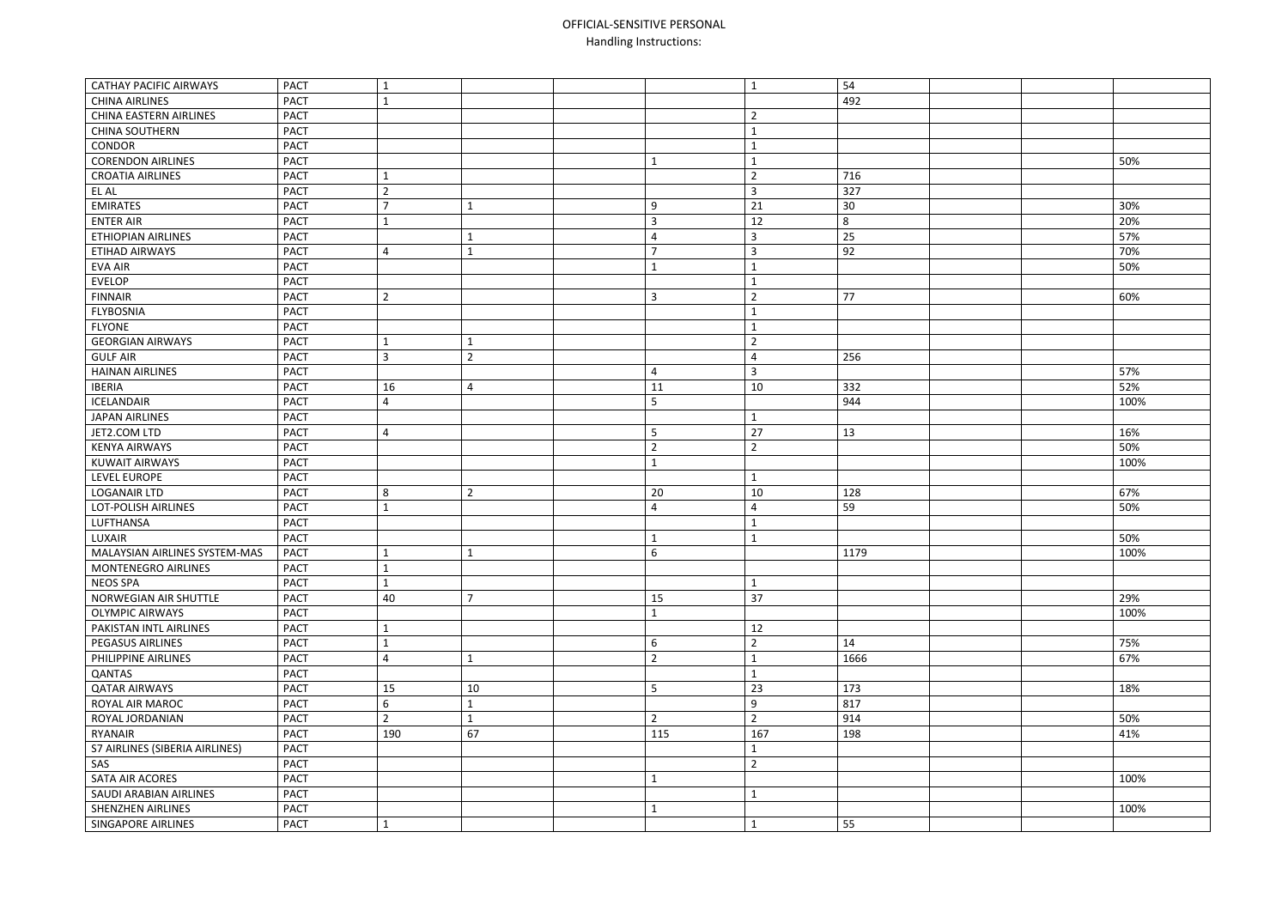## OFFICIAL -SENSITIVE PERSONAL Handling Instructions:

| <b>CATHAY PACIFIC AIRWAYS</b>  | <b>PACT</b> |                |                |                | $\mathbf{1}$   | 54   |      |
|--------------------------------|-------------|----------------|----------------|----------------|----------------|------|------|
| <b>CHINA AIRLINES</b>          | <b>PACT</b> |                |                |                |                | 492  |      |
| <b>CHINA EASTERN AIRLINES</b>  | <b>PACT</b> |                |                |                | $\overline{2}$ |      |      |
| <b>CHINA SOUTHERN</b>          | <b>PACT</b> |                |                |                | $\mathbf{1}$   |      |      |
| CONDOR                         | <b>PACT</b> |                |                |                | $\mathbf{1}$   |      |      |
| <b>CORENDON AIRLINES</b>       | <b>PACT</b> |                |                | $\mathbf{1}$   | $\mathbf{1}$   |      | 50%  |
| <b>CROATIA AIRLINES</b>        | <b>PACT</b> |                |                |                | $\overline{2}$ | 716  |      |
| EL AL                          | <b>PACT</b> | $\overline{2}$ |                |                | $\overline{3}$ | 327  |      |
| <b>EMIRATES</b>                | <b>PACT</b> | $\overline{ }$ |                | 9              | 21             | 30   | 30%  |
| <b>ENTER AIR</b>               | <b>PACT</b> |                |                | 3              | 12             | 8    | 20%  |
| <b>ETHIOPIAN AIRLINES</b>      | <b>PACT</b> |                |                | 4              | $\overline{3}$ | 25   | 57%  |
| ETIHAD AIRWAYS                 | <b>PACT</b> | 4              |                | 7              | $\mathbf{3}$   | 92   | 70%  |
| <b>EVA AIR</b>                 | <b>PACT</b> |                |                | $\mathbf{1}$   | $\mathbf{1}$   |      | 50%  |
| <b>EVELOP</b>                  | <b>PACT</b> |                |                |                | $\mathbf{1}$   |      |      |
| <b>FINNAIR</b>                 | <b>PACT</b> | $\overline{2}$ |                | 3              | $\overline{2}$ | 77   | 60%  |
| <b>FLYBOSNIA</b>               | <b>PACT</b> |                |                |                | $\mathbf{1}$   |      |      |
| <b>FLYONE</b>                  | <b>PACT</b> |                |                |                | $\mathbf{1}$   |      |      |
| <b>GEORGIAN AIRWAYS</b>        | <b>PACT</b> |                |                |                | $\overline{2}$ |      |      |
| <b>GULF AIR</b>                | <b>PACT</b> | 3              | $\overline{2}$ |                | $\overline{4}$ | 256  |      |
| <b>HAINAN AIRLINES</b>         | <b>PACT</b> |                |                | 4              | $\overline{3}$ |      | 57%  |
| <b>IBERIA</b>                  | <b>PACT</b> | 16             | 4              | 11             | 10             | 332  | 52%  |
| ICELANDAIR                     | <b>PACT</b> | 4              |                | 5              |                | 944  | 100% |
| <b>JAPAN AIRLINES</b>          | <b>PACT</b> |                |                |                | $\mathbf{1}$   |      |      |
| JET2.COM LTD                   | <b>PACT</b> | 4              |                | 5              | 27             | 13   | 16%  |
| <b>KENYA AIRWAYS</b>           | <b>PACT</b> |                |                | $\overline{2}$ | $\overline{2}$ |      | 50%  |
| <b>KUWAIT AIRWAYS</b>          | <b>PACT</b> |                |                | $\mathbf{1}$   |                |      | 100% |
| LEVEL EUROPE                   | <b>PACT</b> |                |                |                | $\mathbf{1}$   |      |      |
| <b>LOGANAIR LTD</b>            | <b>PACT</b> | 8              | 2              | 20             | 10             | 128  | 67%  |
| <b>LOT-POLISH AIRLINES</b>     | <b>PACT</b> |                |                | $\overline{4}$ | $\overline{4}$ | 59   | 50%  |
| LUFTHANSA                      | <b>PACT</b> |                |                |                | $\mathbf{1}$   |      |      |
| LUXAIR                         | <b>PACT</b> |                |                | $\mathbf 1$    | 1              |      | 50%  |
| MALAYSIAN AIRLINES SYSTEM-MAS  | <b>PACT</b> |                |                | 6              |                | 1179 | 100% |
| <b>MONTENEGRO AIRLINES</b>     | <b>PACT</b> |                |                |                |                |      |      |
| <b>NEOS SPA</b>                | <b>PACT</b> |                |                |                | $\mathbf{1}$   |      |      |
| NORWEGIAN AIR SHUTTLE          | <b>PACT</b> | 40             | $\overline{ }$ | 15             | 37             |      | 29%  |
| <b>OLYMPIC AIRWAYS</b>         | <b>PACT</b> |                |                | $\mathbf{1}$   |                |      | 100% |
| PAKISTAN INTL AIRLINES         | <b>PACT</b> |                |                |                | 12             |      |      |
| PEGASUS AIRLINES               | <b>PACT</b> |                |                | 6              | $\overline{2}$ | 14   | 75%  |
| PHILIPPINE AIRLINES            | <b>PACT</b> | 4              |                | $\overline{2}$ | $\mathbf{1}$   | 1666 | 67%  |
| QANTAS                         | <b>PACT</b> |                |                |                | $\mathbf{1}$   |      |      |
| <b>QATAR AIRWAYS</b>           | <b>PACT</b> | 15             | 10             | 5              | 23             | 173  | 18%  |
| ROYAL AIR MAROC                | <b>PACT</b> | 6              |                |                | 9              | 817  |      |
| ROYAL JORDANIAN                | <b>PACT</b> | $\overline{2}$ |                | $\overline{2}$ | $\overline{2}$ | 914  | 50%  |
| RYANAIR                        | <b>PACT</b> | 190            | 67             | 115            | 167            | 198  | 41%  |
| S7 AIRLINES (SIBERIA AIRLINES) | <b>PACT</b> |                |                |                | $\mathbf{1}$   |      |      |
| SAS                            | <b>PACT</b> |                |                |                | $\overline{2}$ |      |      |
| SATA AIR ACORES                | <b>PACT</b> |                |                | $\mathbf{1}$   |                |      | 100% |
| SAUDI ARABIAN AIRLINES         | <b>PACT</b> |                |                |                | $\mathbf{1}$   |      |      |
| <b>SHENZHEN AIRLINES</b>       | <b>PACT</b> |                |                | 1              |                |      | 100% |
| <b>SINGAPORE AIRLINES</b>      | <b>PACT</b> | 1              |                |                | $\mathbf{1}$   | 55   |      |
|                                |             |                |                |                |                |      |      |